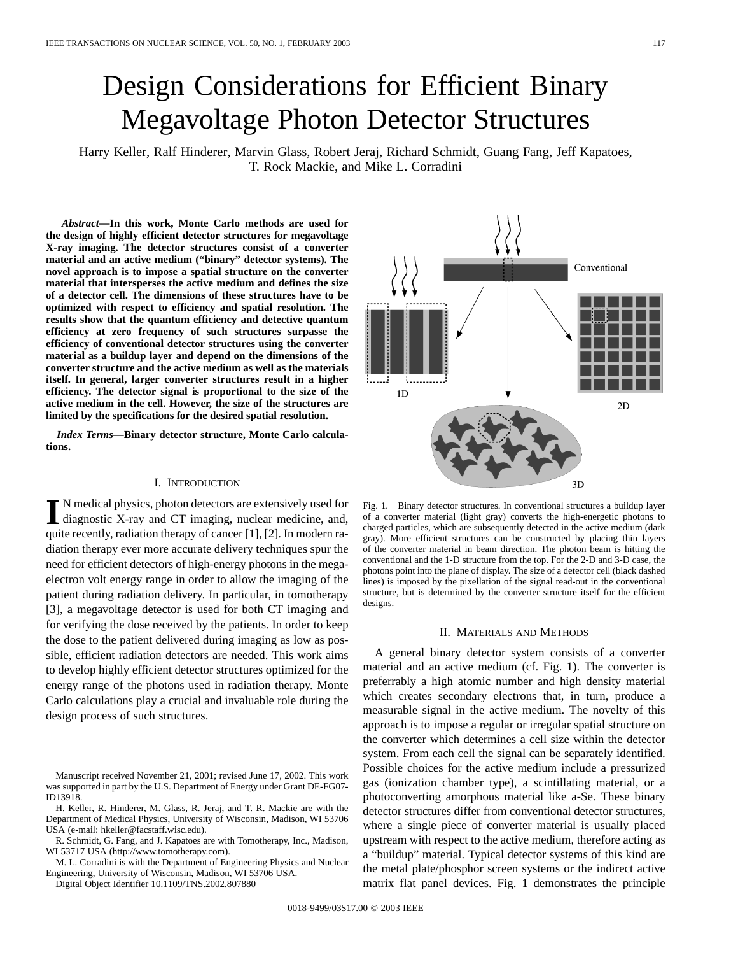# Design Considerations for Efficient Binary Megavoltage Photon Detector Structures

Harry Keller, Ralf Hinderer, Marvin Glass, Robert Jeraj, Richard Schmidt, Guang Fang, Jeff Kapatoes, T. Rock Mackie, and Mike L. Corradini

*Abstract—***In this work, Monte Carlo methods are used for the design of highly efficient detector structures for megavoltage X-ray imaging. The detector structures consist of a converter material and an active medium ("binary" detector systems). The novel approach is to impose a spatial structure on the converter material that intersperses the active medium and defines the size of a detector cell. The dimensions of these structures have to be optimized with respect to efficiency and spatial resolution. The results show that the quantum efficiency and detective quantum efficiency at zero frequency of such structures surpasse the efficiency of conventional detector structures using the converter material as a buildup layer and depend on the dimensions of the converter structure and the active medium as well as the materials itself. In general, larger converter structures result in a higher efficiency. The detector signal is proportional to the size of the active medium in the cell. However, the size of the structures are limited by the specifications for the desired spatial resolution.**

*Index Terms—***Binary detector structure, Monte Carlo calculations.**

## I. INTRODUCTION

**I** N medical physics, photon detectors are extensively used for diagnostic X-ray and CT imaging, nuclear medicine, and, quite recently, radiation therapy of cancer [1], [2]. In modern radiation therapy ever more accurate delivery techniques spur the need for efficient detectors of high-energy photons in the megaelectron volt energy range in order to allow the imaging of the patient during radiation delivery. In particular, in tomotherapy [3], a megavoltage detector is used for both CT imaging and for verifying the dose received by the patients. In order to keep the dose to the patient delivered during imaging as low as possible, efficient radiation detectors are needed. This work aims to develop highly efficient detector structures optimized for the energy range of the photons used in radiation therapy. Monte Carlo calculations play a crucial and invaluable role during the design process of such structures.

Manuscript received November 21, 2001; revised June 17, 2002. This work was supported in part by the U.S. Department of Energy under Grant DE-FG07- ID13918.

H. Keller, R. Hinderer, M. Glass, R. Jeraj, and T. R. Mackie are with the Department of Medical Physics, University of Wisconsin, Madison, WI 53706 USA (e-mail: hkeller@facstaff.wisc.edu).

R. Schmidt, G. Fang, and J. Kapatoes are with Tomotherapy, Inc., Madison, WI 53717 USA (http://www.tomotherapy.com).

M. L. Corradini is with the Department of Engineering Physics and Nuclear Engineering, University of Wisconsin, Madison, WI 53706 USA.

Digital Object Identifier 10.1109/TNS.2002.807880



Fig. 1. Binary detector structures. In conventional structures a buildup layer of a converter material (light gray) converts the high-energetic photons to charged particles, which are subsequently detected in the active medium (dark gray). More efficient structures can be constructed by placing thin layers of the converter material in beam direction. The photon beam is hitting the conventional and the 1-D structure from the top. For the 2-D and 3-D case, the photons point into the plane of display. The size of a detector cell (black dashed lines) is imposed by the pixellation of the signal read-out in the conventional structure, but is determined by the converter structure itself for the efficient designs.

#### II. MATERIALS AND METHODS

A general binary detector system consists of a converter material and an active medium (cf. Fig. 1). The converter is preferrably a high atomic number and high density material which creates secondary electrons that, in turn, produce a measurable signal in the active medium. The novelty of this approach is to impose a regular or irregular spatial structure on the converter which determines a cell size within the detector system. From each cell the signal can be separately identified. Possible choices for the active medium include a pressurized gas (ionization chamber type), a scintillating material, or a photoconverting amorphous material like a-Se. These binary detector structures differ from conventional detector structures, where a single piece of converter material is usually placed upstream with respect to the active medium, therefore acting as a "buildup" material. Typical detector systems of this kind are the metal plate/phosphor screen systems or the indirect active matrix flat panel devices. Fig. 1 demonstrates the principle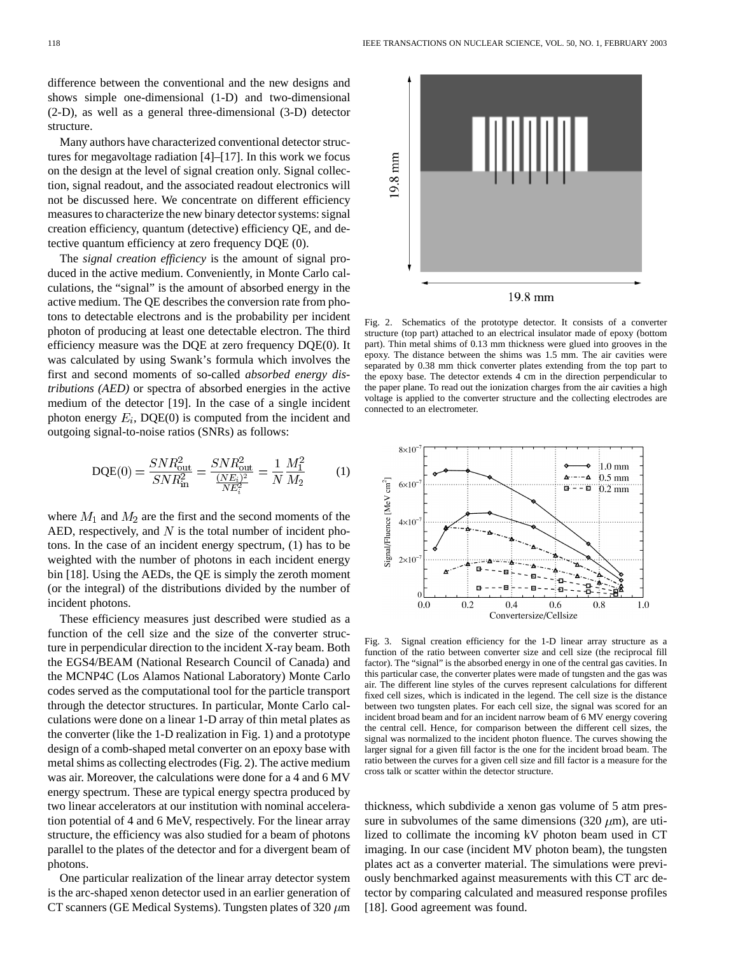difference between the conventional and the new designs and shows simple one-dimensional (1-D) and two-dimensional (2-D), as well as a general three-dimensional (3-D) detector structure.

Many authors have characterized conventional detector structures for megavoltage radiation [4]–[17]. In this work we focus on the design at the level of signal creation only. Signal collection, signal readout, and the associated readout electronics will not be discussed here. We concentrate on different efficiency measures to characterize the new binary detector systems: signal creation efficiency, quantum (detective) efficiency QE, and detective quantum efficiency at zero frequency DQE (0).

The *signal creation efficiency* is the amount of signal produced in the active medium. Conveniently, in Monte Carlo calculations, the "signal" is the amount of absorbed energy in the active medium. The QE describes the conversion rate from photons to detectable electrons and is the probability per incident photon of producing at least one detectable electron. The third efficiency measure was the DQE at zero frequency DQE(0). It was calculated by using Swank's formula which involves the first and second moments of so-called *absorbed energy distributions (AED)* or spectra of absorbed energies in the active medium of the detector [19]. In the case of a single incident photon energy  $E_i$ , DQE(0) is computed from the incident and outgoing signal-to-noise ratios (SNRs) as follows:

$$
DQE(0) = \frac{SNR_{\text{out}}^2}{SNR_{\text{in}}^2} = \frac{SNR_{\text{out}}^2}{\frac{(NE_i)^2}{NE_i^2}} = \frac{1}{N} \frac{M_1^2}{M_2}
$$
 (1)

where  $M_1$  and  $M_2$  are the first and the second moments of the AED, respectively, and  $N$  is the total number of incident photons. In the case of an incident energy spectrum, (1) has to be weighted with the number of photons in each incident energy bin [18]. Using the AEDs, the QE is simply the zeroth moment (or the integral) of the distributions divided by the number of incident photons.

These efficiency measures just described were studied as a function of the cell size and the size of the converter structure in perpendicular direction to the incident X-ray beam. Both the EGS4/BEAM (National Research Council of Canada) and the MCNP4C (Los Alamos National Laboratory) Monte Carlo codes served as the computational tool for the particle transport through the detector structures. In particular, Monte Carlo calculations were done on a linear 1-D array of thin metal plates as the converter (like the 1-D realization in Fig. 1) and a prototype design of a comb-shaped metal converter on an epoxy base with metal shims as collecting electrodes (Fig. 2). The active medium was air. Moreover, the calculations were done for a 4 and 6 MV energy spectrum. These are typical energy spectra produced by two linear accelerators at our institution with nominal acceleration potential of 4 and 6 MeV, respectively. For the linear array structure, the efficiency was also studied for a beam of photons parallel to the plates of the detector and for a divergent beam of photons.

One particular realization of the linear array detector system is the arc-shaped xenon detector used in an earlier generation of CT scanners (GE Medical Systems). Tungsten plates of 320  $\mu$ m



Fig. 2. Schematics of the prototype detector. It consists of a converter structure (top part) attached to an electrical insulator made of epoxy (bottom part). Thin metal shims of 0.13 mm thickness were glued into grooves in the epoxy. The distance between the shims was 1.5 mm. The air cavities were separated by 0.38 mm thick converter plates extending from the top part to the epoxy base. The detector extends 4 cm in the direction perpendicular to the paper plane. To read out the ionization charges from the air cavities a high voltage is applied to the converter structure and the collecting electrodes are connected to an electrometer.



Fig. 3. Signal creation efficiency for the 1-D linear array structure as a function of the ratio between converter size and cell size (the reciprocal fill factor). The "signal" is the absorbed energy in one of the central gas cavities. In this particular case, the converter plates were made of tungsten and the gas was air. The different line styles of the curves represent calculations for different fixed cell sizes, which is indicated in the legend. The cell size is the distance between two tungsten plates. For each cell size, the signal was scored for an incident broad beam and for an incident narrow beam of 6 MV energy covering the central cell. Hence, for comparison between the different cell sizes, the signal was normalized to the incident photon fluence. The curves showing the larger signal for a given fill factor is the one for the incident broad beam. The ratio between the curves for a given cell size and fill factor is a measure for the cross talk or scatter within the detector structure.

thickness, which subdivide a xenon gas volume of 5 atm pressure in subvolumes of the same dimensions (320  $\mu$ m), are utilized to collimate the incoming kV photon beam used in CT imaging. In our case (incident MV photon beam), the tungsten plates act as a converter material. The simulations were previously benchmarked against measurements with this CT arc detector by comparing calculated and measured response profiles [18]. Good agreement was found.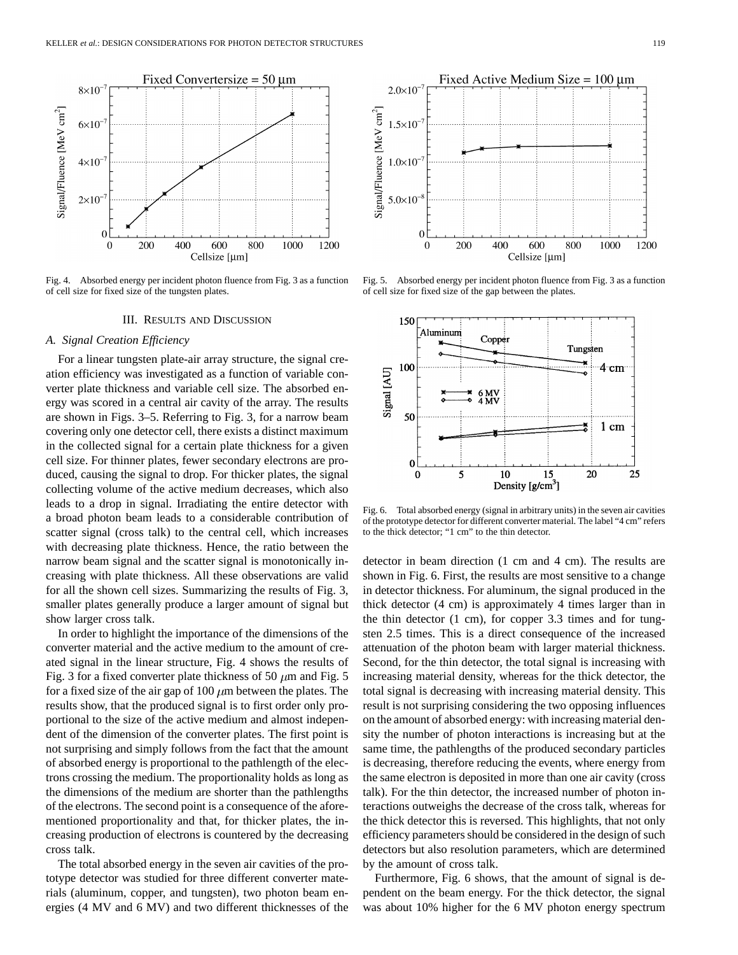

Fig. 4. Absorbed energy per incident photon fluence from Fig. 3 as a function of cell size for fixed size of the tungsten plates.

### III. RESULTS AND DISCUSSION

#### *A. Signal Creation Efficiency*

For a linear tungsten plate-air array structure, the signal creation efficiency was investigated as a function of variable converter plate thickness and variable cell size. The absorbed energy was scored in a central air cavity of the array. The results are shown in Figs. 3–5. Referring to Fig. 3, for a narrow beam covering only one detector cell, there exists a distinct maximum in the collected signal for a certain plate thickness for a given cell size. For thinner plates, fewer secondary electrons are produced, causing the signal to drop. For thicker plates, the signal collecting volume of the active medium decreases, which also leads to a drop in signal. Irradiating the entire detector with a broad photon beam leads to a considerable contribution of scatter signal (cross talk) to the central cell, which increases with decreasing plate thickness. Hence, the ratio between the narrow beam signal and the scatter signal is monotonically increasing with plate thickness. All these observations are valid for all the shown cell sizes. Summarizing the results of Fig. 3, smaller plates generally produce a larger amount of signal but show larger cross talk.

In order to highlight the importance of the dimensions of the converter material and the active medium to the amount of created signal in the linear structure, Fig. 4 shows the results of Fig. 3 for a fixed converter plate thickness of 50  $\mu$ m and Fig. 5 for a fixed size of the air gap of 100  $\mu$ m between the plates. The results show, that the produced signal is to first order only proportional to the size of the active medium and almost independent of the dimension of the converter plates. The first point is not surprising and simply follows from the fact that the amount of absorbed energy is proportional to the pathlength of the electrons crossing the medium. The proportionality holds as long as the dimensions of the medium are shorter than the pathlengths of the electrons. The second point is a consequence of the aforementioned proportionality and that, for thicker plates, the increasing production of electrons is countered by the decreasing cross talk.

The total absorbed energy in the seven air cavities of the prototype detector was studied for three different converter materials (aluminum, copper, and tungsten), two photon beam energies (4 MV and 6 MV) and two different thicknesses of the



Fig. 5. Absorbed energy per incident photon fluence from Fig. 3 as a function of cell size for fixed size of the gap between the plates.



Fig. 6. Total absorbed energy (signal in arbitrary units) in the seven air cavities of the prototype detector for different converter material. The label "4 cm" refers to the thick detector; "1 cm" to the thin detector.

detector in beam direction (1 cm and 4 cm). The results are shown in Fig. 6. First, the results are most sensitive to a change in detector thickness. For aluminum, the signal produced in the thick detector (4 cm) is approximately 4 times larger than in the thin detector (1 cm), for copper 3.3 times and for tungsten 2.5 times. This is a direct consequence of the increased attenuation of the photon beam with larger material thickness. Second, for the thin detector, the total signal is increasing with increasing material density, whereas for the thick detector, the total signal is decreasing with increasing material density. This result is not surprising considering the two opposing influences on the amount of absorbed energy: with increasing material density the number of photon interactions is increasing but at the same time, the pathlengths of the produced secondary particles is decreasing, therefore reducing the events, where energy from the same electron is deposited in more than one air cavity (cross talk). For the thin detector, the increased number of photon interactions outweighs the decrease of the cross talk, whereas for the thick detector this is reversed. This highlights, that not only efficiency parameters should be considered in the design of such detectors but also resolution parameters, which are determined by the amount of cross talk.

Furthermore, Fig. 6 shows, that the amount of signal is dependent on the beam energy. For the thick detector, the signal was about 10% higher for the 6 MV photon energy spectrum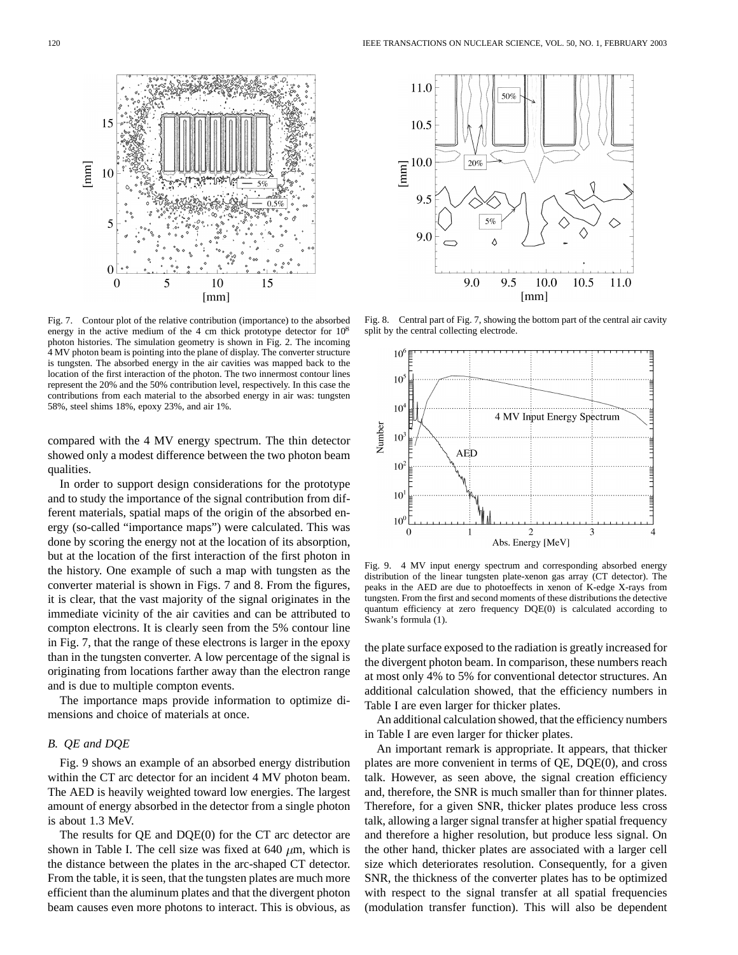

Fig. 7. Contour plot of the relative contribution (importance) to the absorbed energy in the active medium of the 4 cm thick prototype detector for  $10^8$ photon histories. The simulation geometry is shown in Fig. 2. The incoming 4 MV photon beam is pointing into the plane of display. The converter structure is tungsten. The absorbed energy in the air cavities was mapped back to the location of the first interaction of the photon. The two innermost contour lines represent the 20% and the 50% contribution level, respectively. In this case the contributions from each material to the absorbed energy in air was: tungsten 58%, steel shims 18%, epoxy 23%, and air 1%.

compared with the 4 MV energy spectrum. The thin detector showed only a modest difference between the two photon beam qualities.

In order to support design considerations for the prototype and to study the importance of the signal contribution from different materials, spatial maps of the origin of the absorbed energy (so-called "importance maps") were calculated. This was done by scoring the energy not at the location of its absorption, but at the location of the first interaction of the first photon in the history. One example of such a map with tungsten as the converter material is shown in Figs. 7 and 8. From the figures, it is clear, that the vast majority of the signal originates in the immediate vicinity of the air cavities and can be attributed to compton electrons. It is clearly seen from the 5% contour line in Fig. 7, that the range of these electrons is larger in the epoxy than in the tungsten converter. A low percentage of the signal is originating from locations farther away than the electron range and is due to multiple compton events.

The importance maps provide information to optimize dimensions and choice of materials at once.

## *B. QE and DQE*

Fig. 9 shows an example of an absorbed energy distribution within the CT arc detector for an incident 4 MV photon beam. The AED is heavily weighted toward low energies. The largest amount of energy absorbed in the detector from a single photon is about 1.3 MeV.

The results for QE and DQE(0) for the CT arc detector are shown in Table I. The cell size was fixed at 640  $\mu$ m, which is the distance between the plates in the arc-shaped CT detector. From the table, it is seen, that the tungsten plates are much more efficient than the aluminum plates and that the divergent photon beam causes even more photons to interact. This is obvious, as



Fig. 8. Central part of Fig. 7, showing the bottom part of the central air cavity split by the central collecting electrode.



Fig. 9. 4 MV input energy spectrum and corresponding absorbed energy distribution of the linear tungsten plate-xenon gas array (CT detector). The peaks in the AED are due to photoeffects in xenon of K-edge X-rays from tungsten. From the first and second moments of these distributions the detective quantum efficiency at zero frequency DQE(0) is calculated according to Swank's formula (1).

the plate surface exposed to the radiation is greatly increased for the divergent photon beam. In comparison, these numbers reach at most only 4% to 5% for conventional detector structures. An additional calculation showed, that the efficiency numbers in Table I are even larger for thicker plates.

An additional calculation showed, that the efficiency numbers in Table I are even larger for thicker plates.

An important remark is appropriate. It appears, that thicker plates are more convenient in terms of QE, DQE(0), and cross talk. However, as seen above, the signal creation efficiency and, therefore, the SNR is much smaller than for thinner plates. Therefore, for a given SNR, thicker plates produce less cross talk, allowing a larger signal transfer at higher spatial frequency and therefore a higher resolution, but produce less signal. On the other hand, thicker plates are associated with a larger cell size which deteriorates resolution. Consequently, for a given SNR, the thickness of the converter plates has to be optimized with respect to the signal transfer at all spatial frequencies (modulation transfer function). This will also be dependent